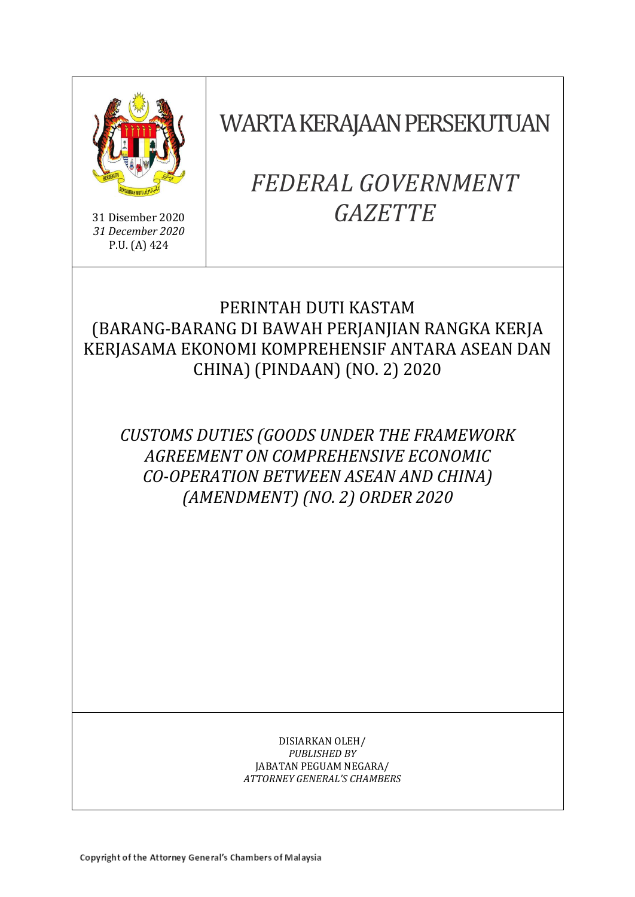

31 Disember 2020 *31 December 2020* P.U. (A) 424

WARTA KERAJAAN PERSEKUTUAN

# *FEDERAL GOVERNMENT GAZETTE*

# PERINTAH DUTI KASTAM (BARANG-BARANG DI BAWAH PERJANJIAN RANGKA KERJA KERJASAMA EKONOMI KOMPREHENSIF ANTARA ASEAN DAN CHINA) (PINDAAN) (NO. 2) 2020

*CUSTOMS DUTIES (GOODS UNDER THE FRAMEWORK AGREEMENT ON COMPREHENSIVE ECONOMIC CO-OPERATION BETWEEN ASEAN AND CHINA) (AMENDMENT) (NO. 2) ORDER 2020*

> DISIARKAN OLEH/ *PUBLISHED BY* JABATAN PEGUAM NEGARA/ *ATTORNEY GENERAL'S CHAMBERS*

Copyright of the Attorney General's Chambers of Malaysia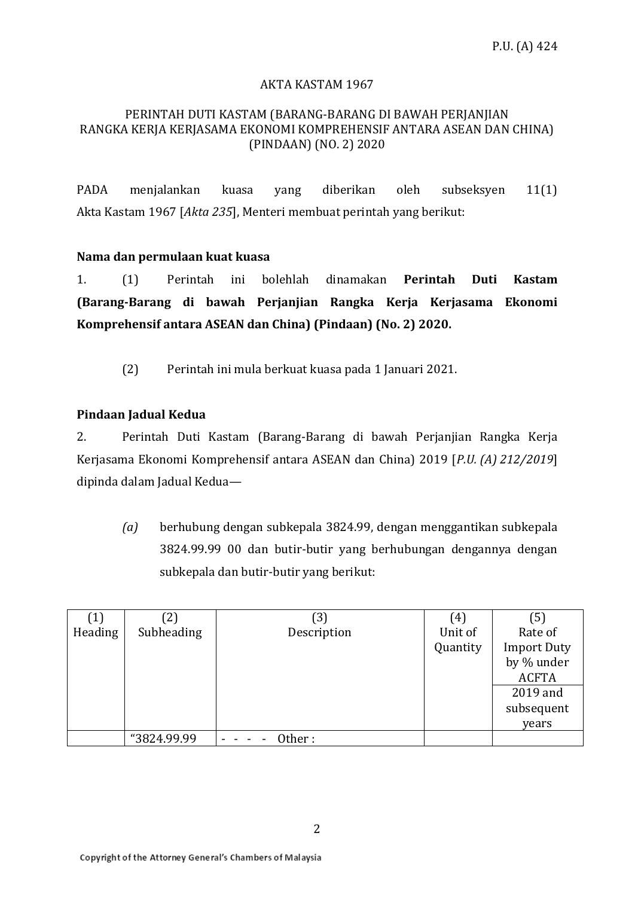# AKTA KASTAM 1967

## PERINTAH DUTI KASTAM (BARANG-BARANG DI BAWAH PERJANJIAN RANGKA KERJA KERJASAMA EKONOMI KOMPREHENSIF ANTARA ASEAN DAN CHINA) (PINDAAN) (NO. 2) 2020

PADA menjalankan kuasa yang diberikan oleh subseksyen 11(1) Akta Kastam 1967 [*Akta 235*], Menteri membuat perintah yang berikut:

## **Nama dan permulaan kuat kuasa**

1. (1) Perintah ini bolehlah dinamakan **Perintah Duti Kastam (Barang-Barang di bawah Perjanjian Rangka Kerja Kerjasama Ekonomi Komprehensif antara ASEAN dan China) (Pindaan) (No. 2) 2020.**

(2) Perintah ini mula berkuat kuasa pada 1 Januari 2021.

# **Pindaan Jadual Kedua**

2. Perintah Duti Kastam (Barang-Barang di bawah Perjanjian Rangka Kerja Kerjasama Ekonomi Komprehensif antara ASEAN dan China) 2019 [*P.U. (A) 212/2019*] dipinda dalam Jadual Kedua—

*(a)* berhubung dengan subkepala 3824.99, dengan menggantikan subkepala 3824.99.99 00 dan butir-butir yang berhubungan dengannya dengan subkepala dan butir-butir yang berikut:

| (1)     | (2)         | (3)         | (4)      | (5)                |
|---------|-------------|-------------|----------|--------------------|
| Heading | Subheading  | Description | Unit of  | Rate of            |
|         |             |             | Quantity | <b>Import Duty</b> |
|         |             |             |          | by % under         |
|         |             |             |          | <b>ACFTA</b>       |
|         |             |             |          | 2019 and           |
|         |             |             |          | subsequent         |
|         |             |             |          | years              |
|         | "3824.99.99 | Other:      |          |                    |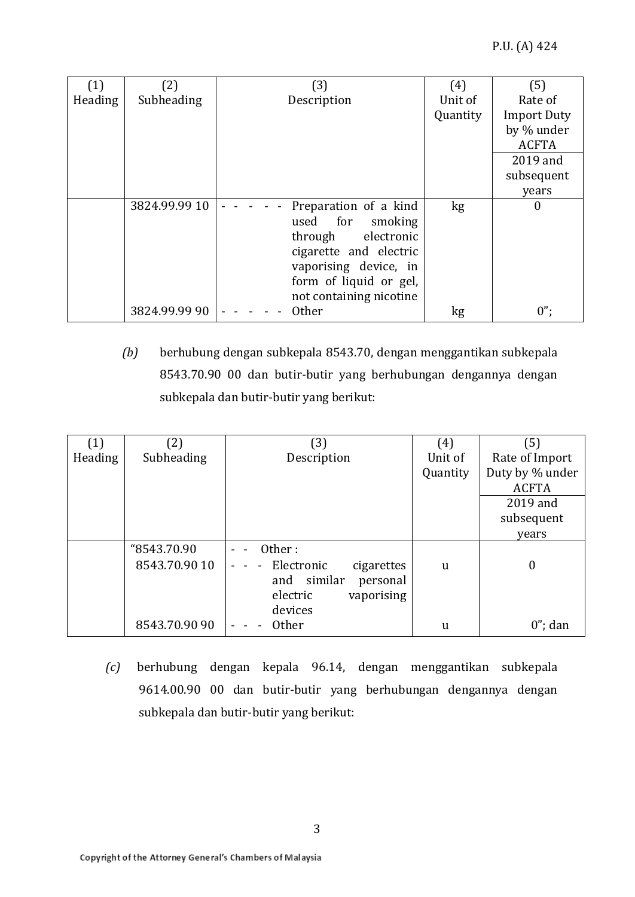| (1)     | (2)           | (3)                     | (4)      | (5)                |
|---------|---------------|-------------------------|----------|--------------------|
| Heading | Subheading    | Description             | Unit of  | Rate of            |
|         |               |                         | Quantity | <b>Import Duty</b> |
|         |               |                         |          | by % under         |
|         |               |                         |          | <b>ACFTA</b>       |
|         |               |                         |          | 2019 and           |
|         |               |                         |          | subsequent         |
|         |               |                         |          | years              |
|         | 3824.99.99 10 | Preparation of a kind   | kg       | 0                  |
|         |               | used for<br>smoking     |          |                    |
|         |               | through electronic      |          |                    |
|         |               | cigarette and electric  |          |                    |
|         |               | vaporising device, in   |          |                    |
|         |               | form of liquid or gel,  |          |                    |
|         |               | not containing nicotine |          |                    |
|         | 3824.99.99 90 | <b>Other</b>            | kg       | $0$ ";             |

*(b)* berhubung dengan subkepala 8543.70, dengan menggantikan subkepala 8543.70.90 00 dan butir-butir yang berhubungan dengannya dengan subkepala dan butir-butir yang berikut:

| (1)     | (2)           | (3)                        | (4)      | (5)             |
|---------|---------------|----------------------------|----------|-----------------|
| Heading | Subheading    | Description                | Unit of  | Rate of Import  |
|         |               |                            | Quantity | Duty by % under |
|         |               |                            |          | <b>ACFTA</b>    |
|         |               |                            |          | 2019 and        |
|         |               |                            |          | subsequent      |
|         |               |                            |          | years           |
|         | "8543.70.90   | Other:                     |          |                 |
|         | 8543.70.90 10 | Electronic<br>cigarettes   | u        | $\theta$        |
|         |               | similar<br>and<br>personal |          |                 |
|         |               | vaporising<br>electric     |          |                 |
|         |               | devices                    |          |                 |
|         | 8543.70.90 90 | <b>Other</b>               | u        | $0$ "; dan      |

*(c)* berhubung dengan kepala 96.14, dengan menggantikan subkepala 9614.00.90 00 dan butir-butir yang berhubungan dengannya dengan subkepala dan butir-butir yang berikut: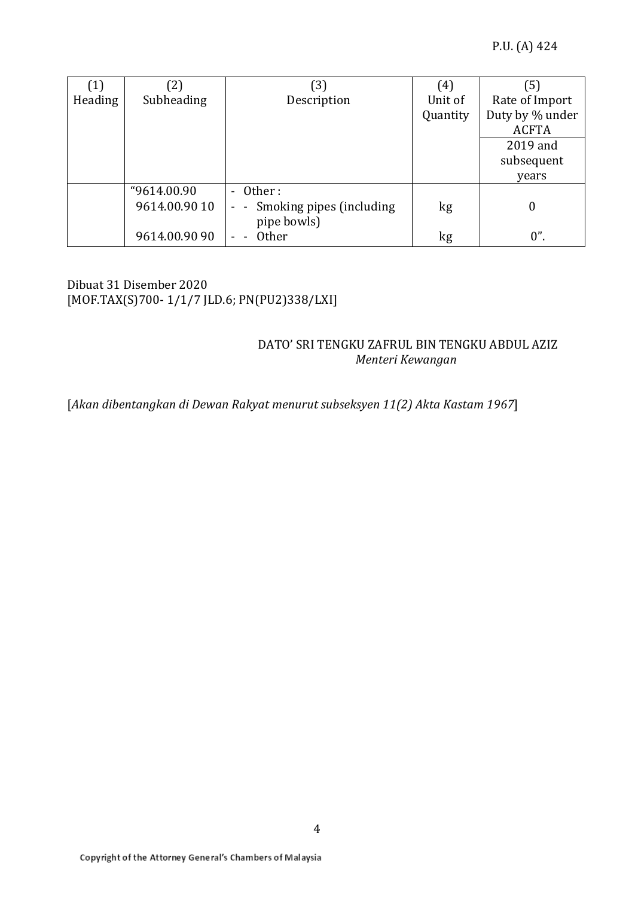| (1)     | $\left( 2\right)$ | 〔3〕                          | (4)      | (5)             |
|---------|-------------------|------------------------------|----------|-----------------|
| Heading | Subheading        | Description                  | Unit of  | Rate of Import  |
|         |                   |                              | Quantity | Duty by % under |
|         |                   |                              |          | <b>ACFTA</b>    |
|         |                   |                              |          | 2019 and        |
|         |                   |                              |          | subsequent      |
|         |                   |                              |          | years           |
|         | "9614.00.90       | - Other:                     |          |                 |
|         | 9614.00.90 10     | - - Smoking pipes (including | kg       | $\Omega$        |
|         |                   | pipe bowls)                  |          |                 |
|         | 9614.00.90 90     | <b>Other</b>                 | kg       | $0$ ".          |

# Dibuat 31 Disember 2020 [MOF.TAX(S)700- 1/1/7 JLD.6; PN(PU2)338/LXI]

# DATO' SRI TENGKU ZAFRUL BIN TENGKU ABDUL AZIZ *Menteri Kewangan*

[*Akan dibentangkan di Dewan Rakyat menurut subseksyen 11(2) Akta Kastam 1967*]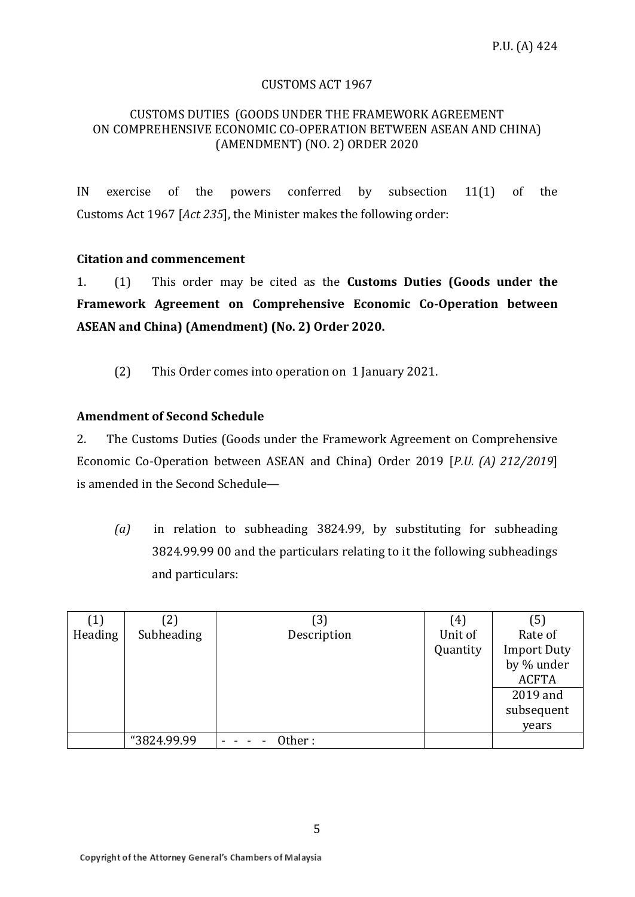## CUSTOMS ACT 1967

### CUSTOMS DUTIES (GOODS UNDER THE FRAMEWORK AGREEMENT ON COMPREHENSIVE ECONOMIC CO-OPERATION BETWEEN ASEAN AND CHINA) (AMENDMENT) (NO. 2) ORDER 2020

IN exercise of the powers conferred by subsection 11(1) of the Customs Act 1967 [*Act 235*], the Minister makes the following order:

## **Citation and commencement**

1. (1) This order may be cited as the **Customs Duties (Goods under the Framework Agreement on Comprehensive Economic Co-Operation between ASEAN and China) (Amendment) (No. 2) Order 2020.**

(2) This Order comes into operation on 1 January 2021.

## **Amendment of Second Schedule**

2. The Customs Duties (Goods under the Framework Agreement on Comprehensive Economic Co-Operation between ASEAN and China) Order 2019 [*P.U. (A) 212/2019*] is amended in the Second Schedule—

*(a)* in relation to subheading 3824.99, by substituting for subheading 3824.99.99 00 and the particulars relating to it the following subheadings and particulars:

| $\left( 1\right)$ | (2)         | (3)         | (4)      | (5)                |
|-------------------|-------------|-------------|----------|--------------------|
| Heading           | Subheading  | Description | Unit of  | Rate of            |
|                   |             |             | Quantity | <b>Import Duty</b> |
|                   |             |             |          | by % under         |
|                   |             |             |          | <b>ACFTA</b>       |
|                   |             |             |          | 2019 and           |
|                   |             |             |          | subsequent         |
|                   |             |             |          | years              |
|                   | "3824.99.99 | Other :     |          |                    |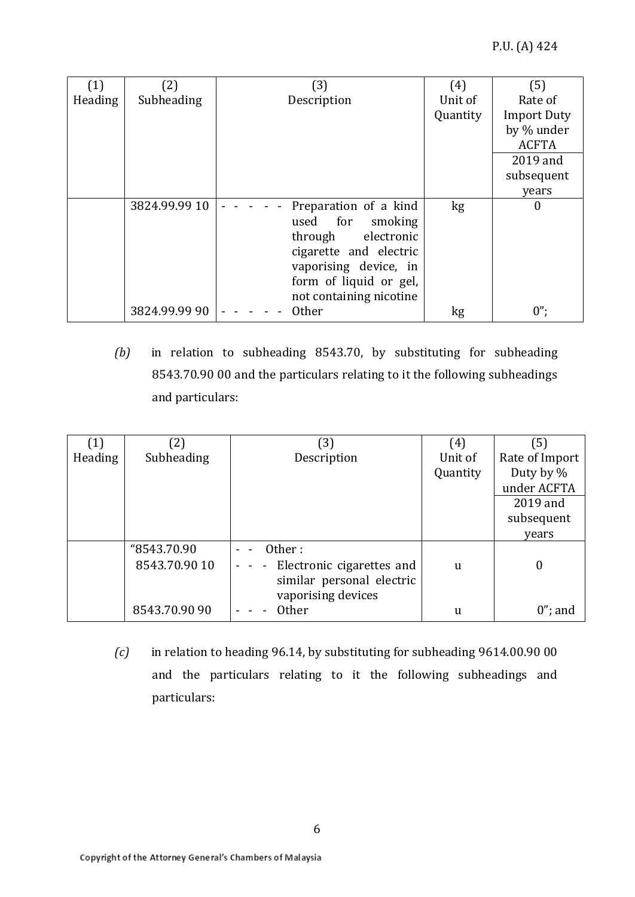| (1)     | (2)           | (3)                     | (4)      | (5)                |
|---------|---------------|-------------------------|----------|--------------------|
| Heading | Subheading    | Description             | Unit of  | Rate of            |
|         |               |                         | Quantity | <b>Import Duty</b> |
|         |               |                         |          | by % under         |
|         |               |                         |          | <b>ACFTA</b>       |
|         |               |                         |          | 2019 and           |
|         |               |                         |          | subsequent         |
|         |               |                         |          | years              |
|         | 3824.99.99 10 | Preparation of a kind   | kg       | 0                  |
|         |               | used for<br>smoking     |          |                    |
|         |               | through electronic      |          |                    |
|         |               | cigarette and electric  |          |                    |
|         |               | vaporising device, in   |          |                    |
|         |               | form of liquid or gel,  |          |                    |
|         |               | not containing nicotine |          |                    |
|         | 3824.99.99 90 | <b>Other</b>            | kg       | $0$ ";             |

*(b)* in relation to subheading 8543.70, by substituting for subheading 8543.70.90 00 and the particulars relating to it the following subheadings and particulars:

| (1)     | $\left( 2\right)$ | 3)                                                        | (4)      | (5)              |
|---------|-------------------|-----------------------------------------------------------|----------|------------------|
| Heading | Subheading        | Description                                               | Unit of  | Rate of Import   |
|         |                   |                                                           | Quantity | Duty by %        |
|         |                   |                                                           |          | under ACFTA      |
|         |                   |                                                           |          | 2019 and         |
|         |                   |                                                           |          | subsequent       |
|         |                   |                                                           |          | years            |
|         | "8543.70.90       | Other:                                                    |          |                  |
|         | 8543.70.90 10     | Electronic cigarettes and<br>$\qquad \qquad \blacksquare$ | u        | $\boldsymbol{0}$ |
|         |                   | similar personal electric                                 |          |                  |
|         |                   | vaporising devices                                        |          |                  |
|         | 8543.70.90 90     | <b>Other</b>                                              | u        | $0$ "; and       |

*(c)* in relation to heading 96.14, by substituting for subheading 9614.00.90 00 and the particulars relating to it the following subheadings and particulars: